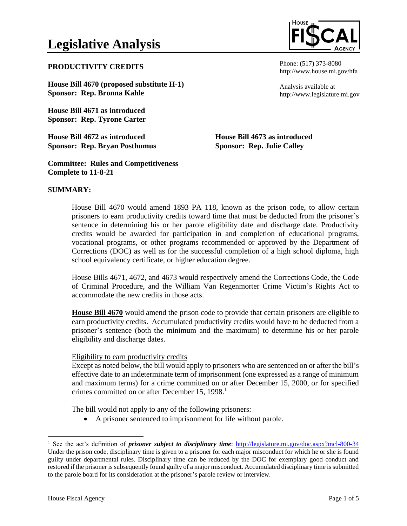# **Legislative Analysis**

## **PRODUCTIVITY CREDITS**

**House Bill 4670 (proposed substitute H-1) Sponsor: Rep. Bronna Kahle**

**House Bill 4671 as introduced Sponsor: Rep. Tyrone Carter**

**House Bill 4672 as introduced Sponsor: Rep. Bryan Posthumus**

**Committee: Rules and Competitiveness Complete to 11-8-21**

Phone: (517) 373-8080 http://www.house.mi.gov/hfa

Analysis available at http://www.legislature.mi.gov

**House Bill 4673 as introduced Sponsor: Rep. Julie Calley**

# **SUMMARY:**

House Bill 4670 would amend 1893 PA 118, known as the prison code, to allow certain prisoners to earn productivity credits toward time that must be deducted from the prisoner's sentence in determining his or her parole eligibility date and discharge date. Productivity credits would be awarded for participation in and completion of educational programs, vocational programs, or other programs recommended or approved by the Department of Corrections (DOC) as well as for the successful completion of a high school diploma, high school equivalency certificate, or higher education degree.

House Bills 4671, 4672, and 4673 would respectively amend the Corrections Code, the Code of Criminal Procedure, and the William Van Regenmorter Crime Victim's Rights Act to accommodate the new credits in those acts.

**House Bill 4670** would amend the prison code to provide that certain prisoners are eligible to earn productivity credits. Accumulated productivity credits would have to be deducted from a prisoner's sentence (both the minimum and the maximum) to determine his or her parole eligibility and discharge dates.

### Eligibility to earn productivity credits

Except as noted below, the bill would apply to prisoners who are sentenced on or after the bill's effective date to an indeterminate term of imprisonment (one expressed as a range of minimum and maximum terms) for a crime committed on or after December 15, 2000, or for specified crimes committed on or after December 15, 1998.<sup>1</sup>

The bill would not apply to any of the following prisoners:

• A prisoner sentenced to imprisonment for life without parole.

<sup>&</sup>lt;sup>1</sup> See the act's definition of *prisoner subject to disciplinary time*: http://legislature.mi.gov/doc.aspx?mcl-800-34 Under the prison code, disciplinary time is given to a prisoner for each major misconduct for which he or she is found guilty under departmental rules. Disciplinary time can be reduced by the DOC for exemplary good conduct and restored if the prisoner is subsequently found guilty of a major misconduct. Accumulated disciplinary time is submitted to the parole board for its consideration at the prisoner's parole review or interview.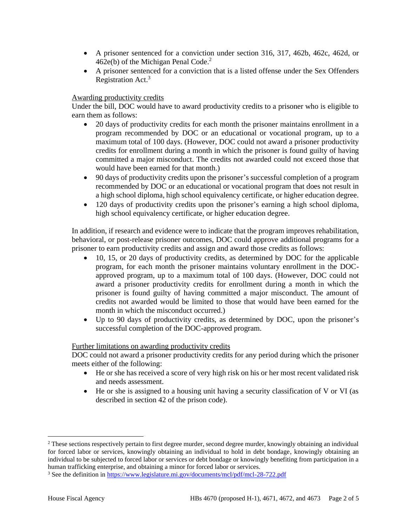- A prisoner sentenced for a conviction under section 316, 317, 462b, 462c, 462d, or  $462e(b)$  of the Michigan Penal Code.<sup>2</sup>
- A prisoner sentenced for a conviction that is a listed offense under the Sex Offenders Registration Act.<sup>3</sup>

# Awarding productivity credits

Under the bill, DOC would have to award productivity credits to a prisoner who is eligible to earn them as follows:

- 20 days of productivity credits for each month the prisoner maintains enrollment in a program recommended by DOC or an educational or vocational program, up to a maximum total of 100 days. (However, DOC could not award a prisoner productivity credits for enrollment during a month in which the prisoner is found guilty of having committed a major misconduct. The credits not awarded could not exceed those that would have been earned for that month.)
- 90 days of productivity credits upon the prisoner's successful completion of a program recommended by DOC or an educational or vocational program that does not result in a high school diploma, high school equivalency certificate, or higher education degree.
- 120 days of productivity credits upon the prisoner's earning a high school diploma, high school equivalency certificate, or higher education degree.

In addition, if research and evidence were to indicate that the program improves rehabilitation, behavioral, or post-release prisoner outcomes, DOC could approve additional programs for a prisoner to earn productivity credits and assign and award those credits as follows:

- 10, 15, or 20 days of productivity credits, as determined by DOC for the applicable program, for each month the prisoner maintains voluntary enrollment in the DOCapproved program, up to a maximum total of 100 days. (However, DOC could not award a prisoner productivity credits for enrollment during a month in which the prisoner is found guilty of having committed a major misconduct. The amount of credits not awarded would be limited to those that would have been earned for the month in which the misconduct occurred.)
- Up to 90 days of productivity credits, as determined by DOC, upon the prisoner's successful completion of the DOC-approved program.

### Further limitations on awarding productivity credits

DOC could not award a prisoner productivity credits for any period during which the prisoner meets either of the following:

- He or she has received a score of very high risk on his or her most recent validated risk and needs assessment.
- He or she is assigned to a housing unit having a security classification of V or VI (as described in section 42 of the prison code).

<sup>&</sup>lt;sup>2</sup> These sections respectively pertain to first degree murder, second degree murder, knowingly obtaining an individual for forced labor or services, knowingly obtaining an individual to hold in debt bondage, knowingly obtaining an individual to be subjected to forced labor or services or debt bondage or knowingly benefiting from participation in a human trafficking enterprise, and obtaining a minor for forced labor or services.

<sup>3</sup> See the definition in <https://www.legislature.mi.gov/documents/mcl/pdf/mcl-28-722.pdf>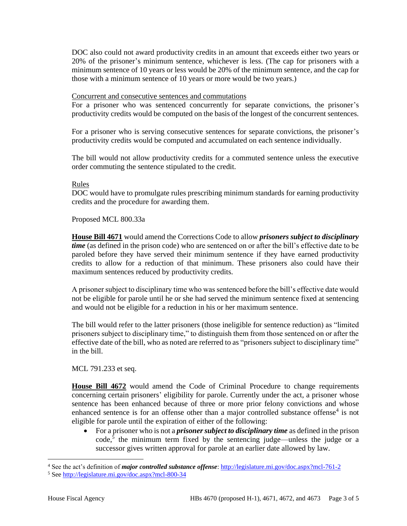DOC also could not award productivity credits in an amount that exceeds either two years or 20% of the prisoner's minimum sentence, whichever is less. (The cap for prisoners with a minimum sentence of 10 years or less would be 20% of the minimum sentence, and the cap for those with a minimum sentence of 10 years or more would be two years.)

### Concurrent and consecutive sentences and commutations

For a prisoner who was sentenced concurrently for separate convictions, the prisoner's productivity credits would be computed on the basis of the longest of the concurrent sentences.

For a prisoner who is serving consecutive sentences for separate convictions, the prisoner's productivity credits would be computed and accumulated on each sentence individually.

The bill would not allow productivity credits for a commuted sentence unless the executive order commuting the sentence stipulated to the credit.

### Rules

DOC would have to promulgate rules prescribing minimum standards for earning productivity credits and the procedure for awarding them.

Proposed MCL 800.33a

**House Bill 4671** would amend the Corrections Code to allow *prisoners subject to disciplinary time* (as defined in the prison code) who are sentenced on or after the bill's effective date to be paroled before they have served their minimum sentence if they have earned productivity credits to allow for a reduction of that minimum. These prisoners also could have their maximum sentences reduced by productivity credits.

A prisoner subject to disciplinary time who was sentenced before the bill's effective date would not be eligible for parole until he or she had served the minimum sentence fixed at sentencing and would not be eligible for a reduction in his or her maximum sentence.

The bill would refer to the latter prisoners (those ineligible for sentence reduction) as "limited prisoners subject to disciplinary time," to distinguish them from those sentenced on or after the effective date of the bill, who as noted are referred to as "prisoners subject to disciplinary time" in the bill.

MCL 791.233 et seq.

**House Bill 4672** would amend the Code of Criminal Procedure to change requirements concerning certain prisoners' eligibility for parole. Currently under the act, a prisoner whose sentence has been enhanced because of three or more prior felony convictions and whose enhanced sentence is for an offense other than a major controlled substance offense $4$  is not eligible for parole until the expiration of either of the following:

• For a prisoner who is not a *prisoner subject to disciplinary time* as defined in the prison  $code<sub>5</sub>$  the minimum term fixed by the sentencing judge—unless the judge or a successor gives written approval for parole at an earlier date allowed by law.

<sup>4</sup> See the act's definition of *major controlled substance offense*:<http://legislature.mi.gov/doc.aspx?mcl-761-2>

<sup>5</sup> Se[e http://legislature.mi.gov/doc.aspx?mcl-800-34](http://legislature.mi.gov/doc.aspx?mcl-800-34)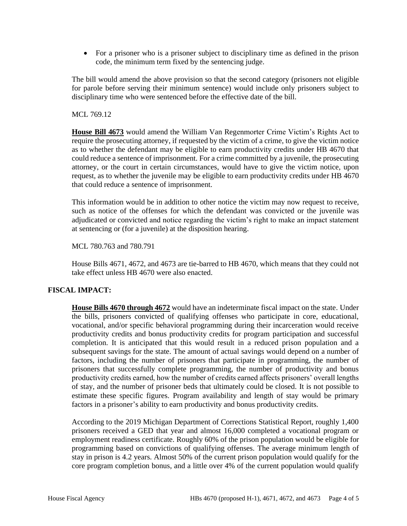• For a prisoner who is a prisoner subject to disciplinary time as defined in the prison code, the minimum term fixed by the sentencing judge.

The bill would amend the above provision so that the second category (prisoners not eligible for parole before serving their minimum sentence) would include only prisoners subject to disciplinary time who were sentenced before the effective date of the bill.

### MCL 769.12

**House Bill 4673** would amend the William Van Regenmorter Crime Victim's Rights Act to require the prosecuting attorney, if requested by the victim of a crime, to give the victim notice as to whether the defendant may be eligible to earn productivity credits under HB 4670 that could reduce a sentence of imprisonment. For a crime committed by a juvenile, the prosecuting attorney, or the court in certain circumstances, would have to give the victim notice, upon request, as to whether the juvenile may be eligible to earn productivity credits under HB 4670 that could reduce a sentence of imprisonment.

This information would be in addition to other notice the victim may now request to receive, such as notice of the offenses for which the defendant was convicted or the juvenile was adjudicated or convicted and notice regarding the victim's right to make an impact statement at sentencing or (for a juvenile) at the disposition hearing.

MCL 780.763 and 780.791

House Bills 4671, 4672, and 4673 are tie-barred to HB 4670, which means that they could not take effect unless HB 4670 were also enacted.

### **FISCAL IMPACT:**

**House Bills 4670 through 4672** would have an indeterminate fiscal impact on the state. Under the bills, prisoners convicted of qualifying offenses who participate in core, educational, vocational, and/or specific behavioral programming during their incarceration would receive productivity credits and bonus productivity credits for program participation and successful completion. It is anticipated that this would result in a reduced prison population and a subsequent savings for the state. The amount of actual savings would depend on a number of factors, including the number of prisoners that participate in programming, the number of prisoners that successfully complete programming, the number of productivity and bonus productivity credits earned, how the number of credits earned affects prisoners' overall lengths of stay, and the number of prisoner beds that ultimately could be closed. It is not possible to estimate these specific figures. Program availability and length of stay would be primary factors in a prisoner's ability to earn productivity and bonus productivity credits.

According to the 2019 Michigan Department of Corrections Statistical Report, roughly 1,400 prisoners received a GED that year and almost 16,000 completed a vocational program or employment readiness certificate. Roughly 60% of the prison population would be eligible for programming based on convictions of qualifying offenses. The average minimum length of stay in prison is 4.2 years. Almost 50% of the current prison population would qualify for the core program completion bonus, and a little over 4% of the current population would qualify